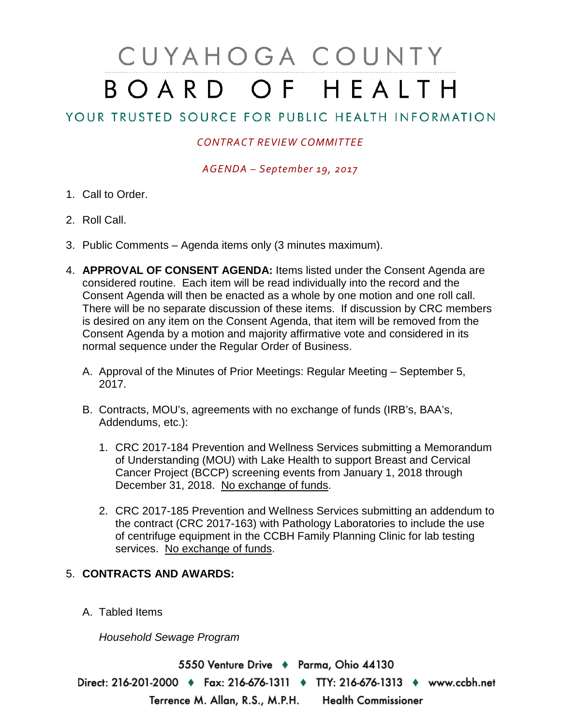## CUYAHOGA COUNTY BOARD OF HEALTH

## YOUR TRUSTED SOURCE FOR PUBLIC HEALTH INFORMATION

## *CONTRACT REVIEW COMMITTEE*

*AGENDA – September 19, 2017*

- 1. Call to Order.
- 2. Roll Call.
- 3. Public Comments Agenda items only (3 minutes maximum).
- 4. **APPROVAL OF CONSENT AGENDA:** Items listed under the Consent Agenda are considered routine. Each item will be read individually into the record and the Consent Agenda will then be enacted as a whole by one motion and one roll call. There will be no separate discussion of these items. If discussion by CRC members is desired on any item on the Consent Agenda, that item will be removed from the Consent Agenda by a motion and majority affirmative vote and considered in its normal sequence under the Regular Order of Business.
	- A. Approval of the Minutes of Prior Meetings: Regular Meeting September 5, 2017.
	- B. Contracts, MOU's, agreements with no exchange of funds (IRB's, BAA's, Addendums, etc.):
		- 1. CRC 2017-184 Prevention and Wellness Services submitting a Memorandum of Understanding (MOU) with Lake Health to support Breast and Cervical Cancer Project (BCCP) screening events from January 1, 2018 through December 31, 2018. No exchange of funds.
		- 2. CRC 2017-185 Prevention and Wellness Services submitting an addendum to the contract (CRC 2017-163) with Pathology Laboratories to include the use of centrifuge equipment in the CCBH Family Planning Clinic for lab testing services. No exchange of funds.

## 5. **CONTRACTS AND AWARDS:**

A. Tabled Items

*Household Sewage Program*

5550 Venture Drive + Parma, Ohio 44130 Direct: 216-201-2000 • Fax: 216-676-1311 • TTY: 216-676-1313 • www.ccbh.net Terrence M. Allan, R.S., M.P.H. Health Commissioner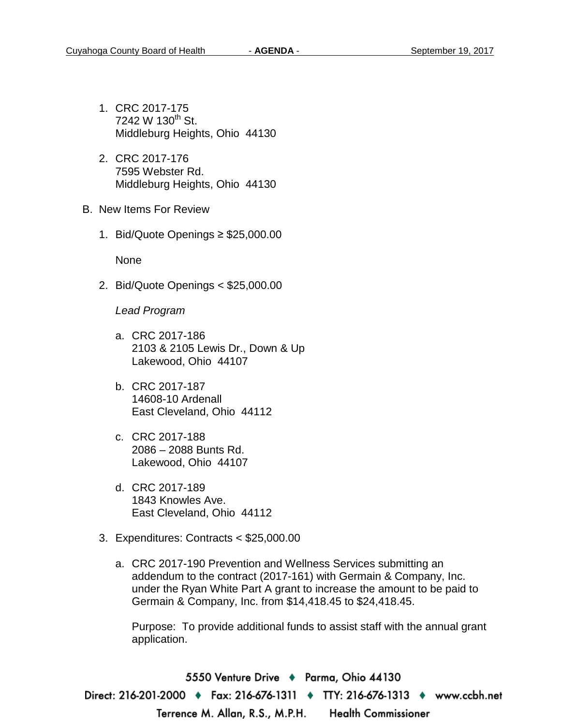- 1. CRC 2017-175 7242 W  $130^{th}$  St. Middleburg Heights, Ohio 44130
- 2. CRC 2017-176 7595 Webster Rd. Middleburg Heights, Ohio 44130
- B. New Items For Review
	- 1. Bid/Quote Openings ≥ \$25,000.00

None

2. Bid/Quote Openings < \$25,000.00

*Lead Program* 

- a. CRC 2017-186 2103 & 2105 Lewis Dr., Down & Up Lakewood, Ohio 44107
- b. CRC 2017-187 14608-10 Ardenall East Cleveland, Ohio 44112
- c. CRC 2017-188 2086 – 2088 Bunts Rd. Lakewood, Ohio 44107
- d. CRC 2017-189 1843 Knowles Ave. East Cleveland, Ohio 44112
- 3. Expenditures: Contracts < \$25,000.00
	- a. CRC 2017-190 Prevention and Wellness Services submitting an addendum to the contract (2017-161) with Germain & Company, Inc. under the Ryan White Part A grant to increase the amount to be paid to Germain & Company, Inc. from \$14,418.45 to \$24,418.45.

Purpose: To provide additional funds to assist staff with the annual grant application.

5550 Venture Drive ♦ Parma, Ohio 44130 Direct: 216-201-2000 ♦ Fax: 216-676-1311 ♦ TTY: 216-676-1313 ♦ www.ccbh.net Terrence M. Allan, R.S., M.P.H. **Health Commissioner**